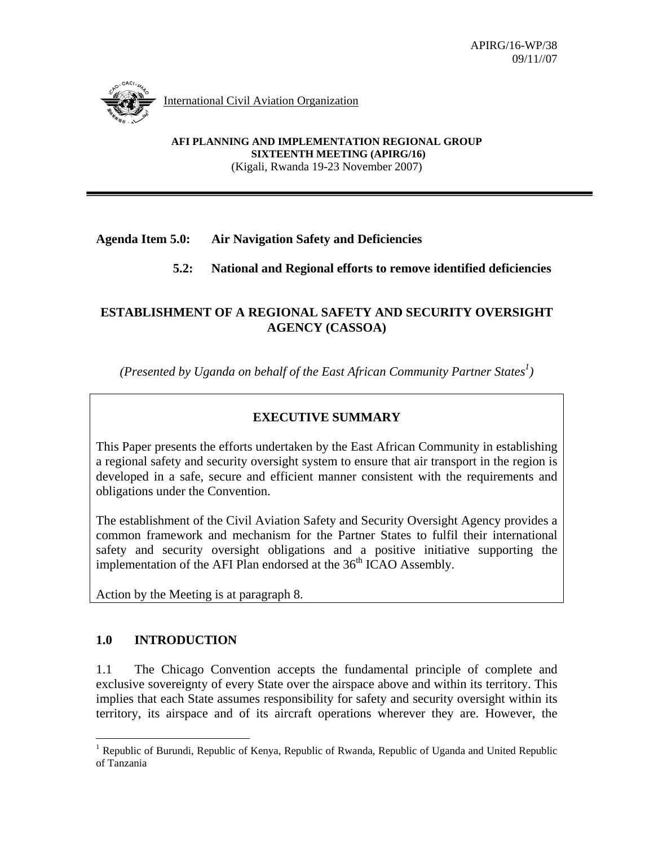

International Civil Aviation Organization

**AFI PLANNING AND IMPLEMENTATION REGIONAL GROUP SIXTEENTH MEETING (APIRG/16)**  (Kigali, Rwanda 19-23 November 2007)

#### **Agenda Item 5.0: Air Navigation Safety and Deficiencies**

### **5.2: National and Regional efforts to remove identified deficiencies**

#### **ESTABLISHMENT OF A REGIONAL SAFETY AND SECURITY OVERSIGHT AGENCY (CASSOA)**

*(Presented by Uganda on behalf of the East African Community Partner States<sup>1</sup>)* 

### **EXECUTIVE SUMMARY**

This Paper presents the efforts undertaken by the East African Community in establishing a regional safety and security oversight system to ensure that air transport in the region is developed in a safe, secure and efficient manner consistent with the requirements and obligations under the Convention.

The establishment of the Civil Aviation Safety and Security Oversight Agency provides a common framework and mechanism for the Partner States to fulfil their international safety and security oversight obligations and a positive initiative supporting the implementation of the AFI Plan endorsed at the 36<sup>th</sup> ICAO Assembly.

Action by the Meeting is at paragraph 8.

#### **1.0 INTRODUCTION**

1.1 The Chicago Convention accepts the fundamental principle of complete and exclusive sovereignty of every State over the airspace above and within its territory. This implies that each State assumes responsibility for safety and security oversight within its territory, its airspace and of its aircraft operations wherever they are. However, the

<sup>&</sup>lt;sup>1</sup> Republic of Burundi, Republic of Kenya, Republic of Rwanda, Republic of Uganda and United Republic of Tanzania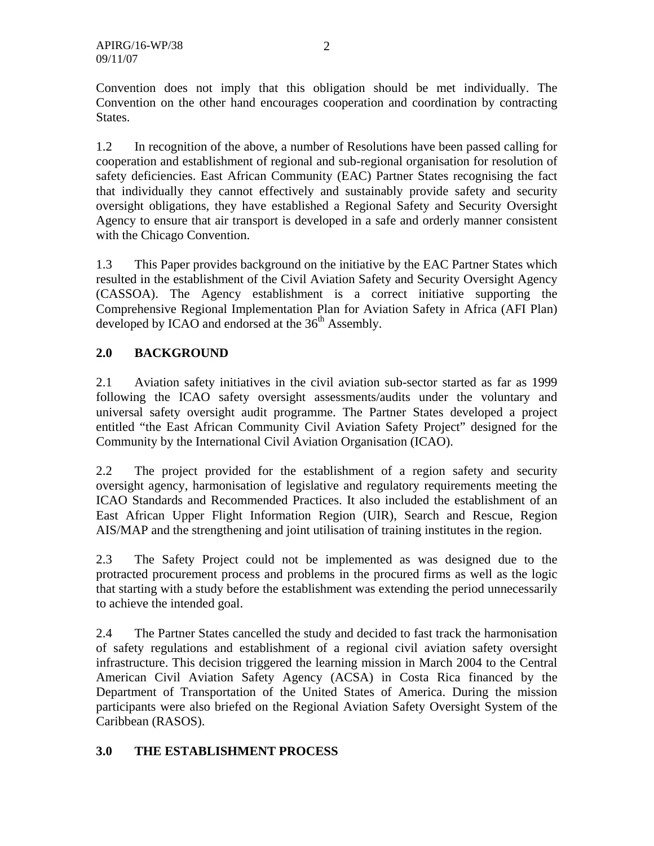Convention does not imply that this obligation should be met individually. The Convention on the other hand encourages cooperation and coordination by contracting States.

1.2 In recognition of the above, a number of Resolutions have been passed calling for cooperation and establishment of regional and sub-regional organisation for resolution of safety deficiencies. East African Community (EAC) Partner States recognising the fact that individually they cannot effectively and sustainably provide safety and security oversight obligations, they have established a Regional Safety and Security Oversight Agency to ensure that air transport is developed in a safe and orderly manner consistent with the Chicago Convention.

1.3 This Paper provides background on the initiative by the EAC Partner States which resulted in the establishment of the Civil Aviation Safety and Security Oversight Agency (CASSOA). The Agency establishment is a correct initiative supporting the Comprehensive Regional Implementation Plan for Aviation Safety in Africa (AFI Plan) developed by ICAO and endorsed at the  $36<sup>th</sup>$  Assembly.

## **2.0 BACKGROUND**

2.1 Aviation safety initiatives in the civil aviation sub-sector started as far as 1999 following the ICAO safety oversight assessments/audits under the voluntary and universal safety oversight audit programme. The Partner States developed a project entitled "the East African Community Civil Aviation Safety Project" designed for the Community by the International Civil Aviation Organisation (ICAO).

2.2 The project provided for the establishment of a region safety and security oversight agency, harmonisation of legislative and regulatory requirements meeting the ICAO Standards and Recommended Practices. It also included the establishment of an East African Upper Flight Information Region (UIR), Search and Rescue, Region AIS/MAP and the strengthening and joint utilisation of training institutes in the region.

2.3 The Safety Project could not be implemented as was designed due to the protracted procurement process and problems in the procured firms as well as the logic that starting with a study before the establishment was extending the period unnecessarily to achieve the intended goal.

2.4 The Partner States cancelled the study and decided to fast track the harmonisation of safety regulations and establishment of a regional civil aviation safety oversight infrastructure. This decision triggered the learning mission in March 2004 to the Central American Civil Aviation Safety Agency (ACSA) in Costa Rica financed by the Department of Transportation of the United States of America. During the mission participants were also briefed on the Regional Aviation Safety Oversight System of the Caribbean (RASOS).

## **3.0 THE ESTABLISHMENT PROCESS**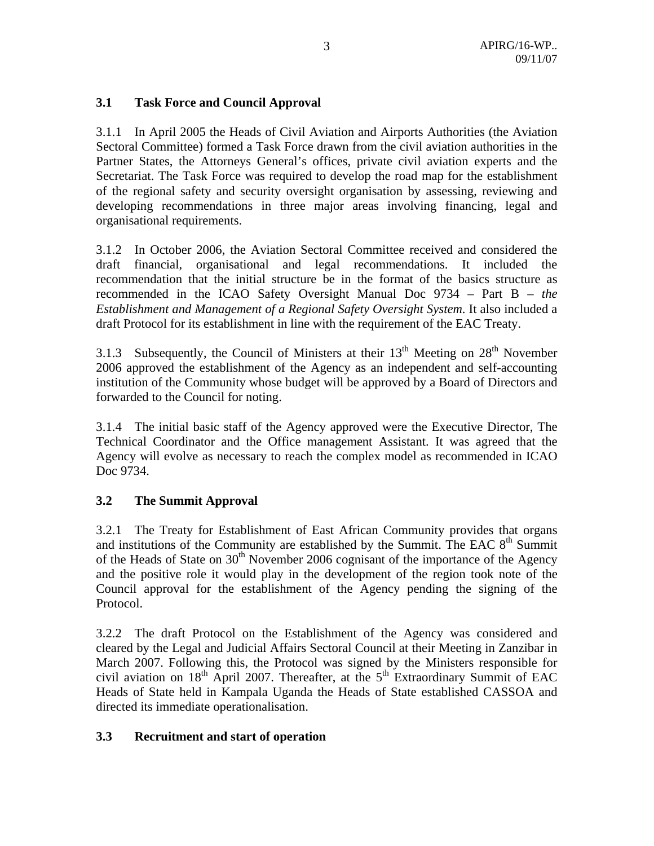#### **3.1 Task Force and Council Approval**

3.1.1 In April 2005 the Heads of Civil Aviation and Airports Authorities (the Aviation Sectoral Committee) formed a Task Force drawn from the civil aviation authorities in the Partner States, the Attorneys General's offices, private civil aviation experts and the Secretariat. The Task Force was required to develop the road map for the establishment of the regional safety and security oversight organisation by assessing, reviewing and developing recommendations in three major areas involving financing, legal and organisational requirements.

3.1.2 In October 2006, the Aviation Sectoral Committee received and considered the draft financial, organisational and legal recommendations. It included the recommendation that the initial structure be in the format of the basics structure as recommended in the ICAO Safety Oversight Manual Doc 9734 – Part B – *the Establishment and Management of a Regional Safety Oversight System*. It also included a draft Protocol for its establishment in line with the requirement of the EAC Treaty.

3.1.3 Subsequently, the Council of Ministers at their  $13<sup>th</sup>$  Meeting on  $28<sup>th</sup>$  November 2006 approved the establishment of the Agency as an independent and self-accounting institution of the Community whose budget will be approved by a Board of Directors and forwarded to the Council for noting.

3.1.4 The initial basic staff of the Agency approved were the Executive Director, The Technical Coordinator and the Office management Assistant. It was agreed that the Agency will evolve as necessary to reach the complex model as recommended in ICAO Doc 9734.

## **3.2 The Summit Approval**

3.2.1 The Treaty for Establishment of East African Community provides that organs and institutions of the Community are established by the Summit. The EAC  $8<sup>th</sup>$  Summit of the Heads of State on  $30<sup>th</sup>$  November 2006 cognisant of the importance of the Agency and the positive role it would play in the development of the region took note of the Council approval for the establishment of the Agency pending the signing of the Protocol.

3.2.2 The draft Protocol on the Establishment of the Agency was considered and cleared by the Legal and Judicial Affairs Sectoral Council at their Meeting in Zanzibar in March 2007. Following this, the Protocol was signed by the Ministers responsible for civil aviation on  $18<sup>th</sup>$  April 2007. Thereafter, at the  $5<sup>th</sup>$  Extraordinary Summit of EAC Heads of State held in Kampala Uganda the Heads of State established CASSOA and directed its immediate operationalisation.

## **3.3 Recruitment and start of operation**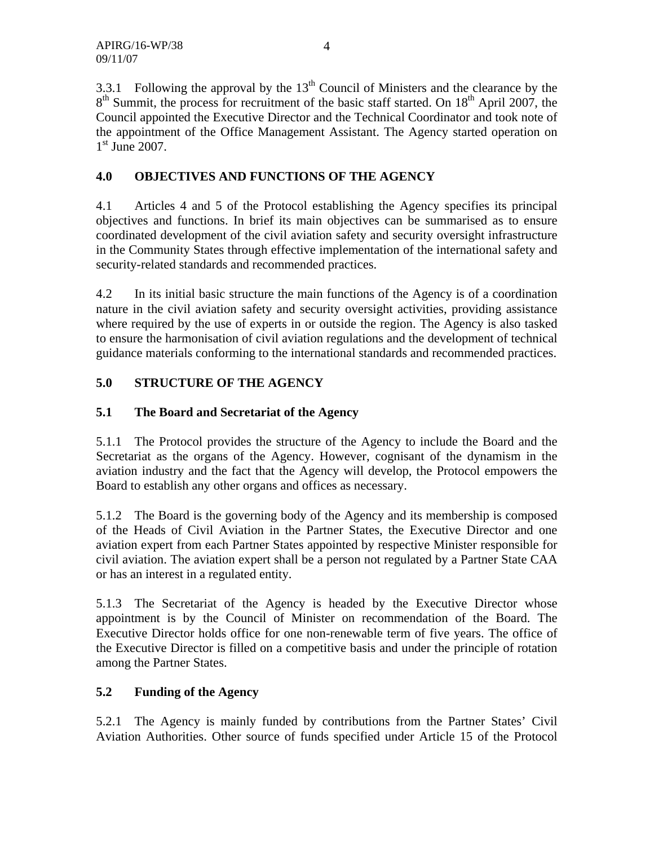3.3.1 Following the approval by the  $13<sup>th</sup>$  Council of Ministers and the clearance by the  $8<sup>th</sup>$  Summit, the process for recruitment of the basic staff started. On  $18<sup>th</sup>$  April 2007, the Council appointed the Executive Director and the Technical Coordinator and took note of the appointment of the Office Management Assistant. The Agency started operation on  $1<sup>st</sup>$  June 2007.

## **4.0 OBJECTIVES AND FUNCTIONS OF THE AGENCY**

4.1 Articles 4 and 5 of the Protocol establishing the Agency specifies its principal objectives and functions. In brief its main objectives can be summarised as to ensure coordinated development of the civil aviation safety and security oversight infrastructure in the Community States through effective implementation of the international safety and security-related standards and recommended practices.

4.2 In its initial basic structure the main functions of the Agency is of a coordination nature in the civil aviation safety and security oversight activities, providing assistance where required by the use of experts in or outside the region. The Agency is also tasked to ensure the harmonisation of civil aviation regulations and the development of technical guidance materials conforming to the international standards and recommended practices.

# **5.0 STRUCTURE OF THE AGENCY**

## **5.1 The Board and Secretariat of the Agency**

5.1.1 The Protocol provides the structure of the Agency to include the Board and the Secretariat as the organs of the Agency. However, cognisant of the dynamism in the aviation industry and the fact that the Agency will develop, the Protocol empowers the Board to establish any other organs and offices as necessary.

5.1.2 The Board is the governing body of the Agency and its membership is composed of the Heads of Civil Aviation in the Partner States, the Executive Director and one aviation expert from each Partner States appointed by respective Minister responsible for civil aviation. The aviation expert shall be a person not regulated by a Partner State CAA or has an interest in a regulated entity.

5.1.3 The Secretariat of the Agency is headed by the Executive Director whose appointment is by the Council of Minister on recommendation of the Board. The Executive Director holds office for one non-renewable term of five years. The office of the Executive Director is filled on a competitive basis and under the principle of rotation among the Partner States.

## **5.2 Funding of the Agency**

5.2.1 The Agency is mainly funded by contributions from the Partner States' Civil Aviation Authorities. Other source of funds specified under Article 15 of the Protocol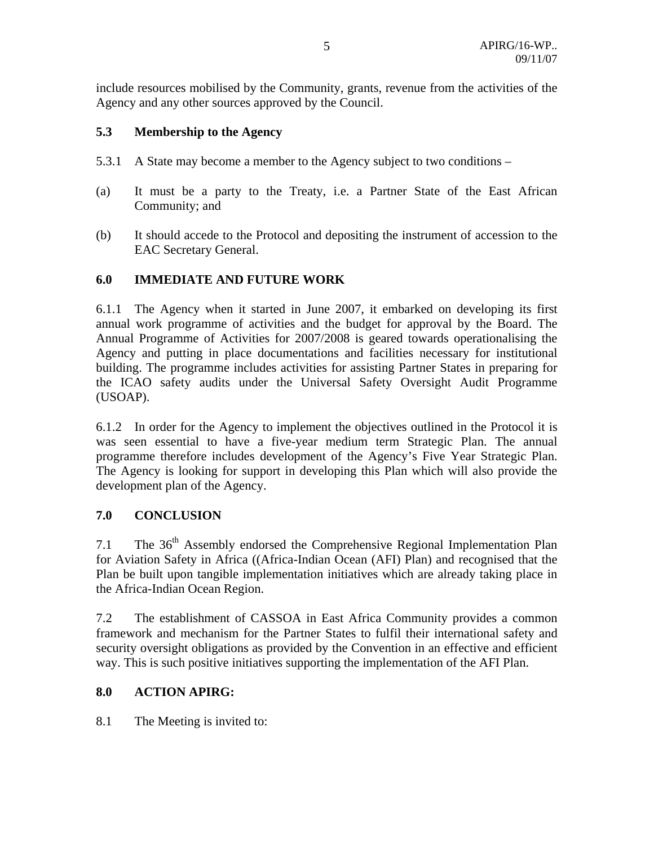include resources mobilised by the Community, grants, revenue from the activities of the Agency and any other sources approved by the Council.

#### **5.3 Membership to the Agency**

- 5.3.1 A State may become a member to the Agency subject to two conditions –
- (a) It must be a party to the Treaty, i.e. a Partner State of the East African Community; and
- (b) It should accede to the Protocol and depositing the instrument of accession to the EAC Secretary General.

#### **6.0 IMMEDIATE AND FUTURE WORK**

6.1.1 The Agency when it started in June 2007, it embarked on developing its first annual work programme of activities and the budget for approval by the Board. The Annual Programme of Activities for 2007/2008 is geared towards operationalising the Agency and putting in place documentations and facilities necessary for institutional building. The programme includes activities for assisting Partner States in preparing for the ICAO safety audits under the Universal Safety Oversight Audit Programme (USOAP).

6.1.2 In order for the Agency to implement the objectives outlined in the Protocol it is was seen essential to have a five-year medium term Strategic Plan. The annual programme therefore includes development of the Agency's Five Year Strategic Plan. The Agency is looking for support in developing this Plan which will also provide the development plan of the Agency.

#### **7.0 CONCLUSION**

7.1 The 36<sup>th</sup> Assembly endorsed the Comprehensive Regional Implementation Plan for Aviation Safety in Africa ((Africa-Indian Ocean (AFI) Plan) and recognised that the Plan be built upon tangible implementation initiatives which are already taking place in the Africa-Indian Ocean Region.

7.2 The establishment of CASSOA in East Africa Community provides a common framework and mechanism for the Partner States to fulfil their international safety and security oversight obligations as provided by the Convention in an effective and efficient way. This is such positive initiatives supporting the implementation of the AFI Plan.

#### **8.0 ACTION APIRG:**

8.1 The Meeting is invited to: